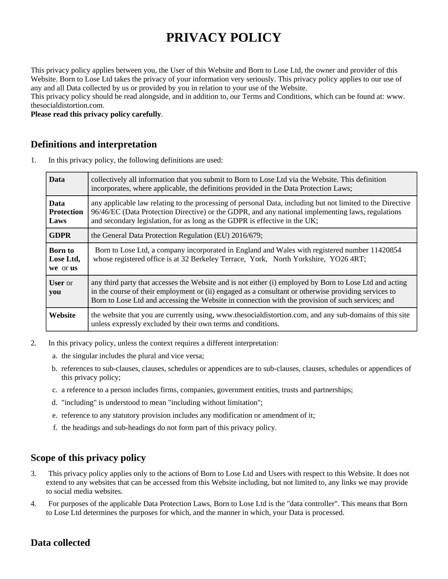# **PRIVACY POLICY**

This privacy policy applies between you, the User of this Website and Born to Lose Ltd, the owner and provider of this Website. Born to Lose Ltd takes the privacy of your information very seriously. This privacy policy applies to our use of any and all Data collected by us or provided by you in relation to your use of the Website.

This privacy policy should be read alongside, and in addition to, our Terms and Conditions, which can be found at: www. thesocialdistortion.com.

**Please read this privacy policy carefully**.

#### **Definitions and interpretation**

1. In this privacy policy, the following definitions are used:

| <b>Data</b>                              | collectively all information that you submit to Born to Lose Ltd via the Website. This definition<br>incorporates, where applicable, the definitions provided in the Data Protection Laws;                                                                                                                           |
|------------------------------------------|----------------------------------------------------------------------------------------------------------------------------------------------------------------------------------------------------------------------------------------------------------------------------------------------------------------------|
| <b>Data</b><br><b>Protection</b><br>Laws | any applicable law relating to the processing of personal Data, including but not limited to the Directive<br>96/46/EC (Data Protection Directive) or the GDPR, and any national implementing laws, regulations<br>and secondary legislation, for as long as the GDPR is effective in the UK;                        |
| <b>GDPR</b>                              | the General Data Protection Regulation (EU) 2016/679;                                                                                                                                                                                                                                                                |
| <b>Born</b> to<br>Lose Ltd,<br>we or us  | Born to Lose Ltd, a company incorporated in England and Wales with registered number 11420854<br>whose registered office is at 32 Berkeley Terrace, York, North Yorkshire, YO26 4RT;                                                                                                                                 |
| <b>User</b> or<br>you                    | any third party that accesses the Website and is not either (i) employed by Born to Lose Ltd and acting<br>in the course of their employment or (ii) engaged as a consultant or otherwise providing services to<br>Born to Lose Ltd and accessing the Website in connection with the provision of such services; and |
| Website                                  | the website that you are currently using, www.thesocialdistortion.com, and any sub-domains of this site<br>unless expressly excluded by their own terms and conditions.                                                                                                                                              |

- 2. In this privacy policy, unless the context requires a different interpretation:
	- a. the singular includes the plural and vice versa;
	- b. references to sub-clauses, clauses, schedules or appendices are to sub-clauses, clauses, schedules or appendices of this privacy policy;
	- c. a reference to a person includes firms, companies, government entities, trusts and partnerships;
	- d. "including" is understood to mean "including without limitation";
	- e. reference to any statutory provision includes any modification or amendment of it;
	- f. the headings and sub-headings do not form part of this privacy policy.

## **Scope of this privacy policy**

- 3. This privacy policy applies only to the actions of Born to Lose Ltd and Users with respect to this Website. It does not extend to any websites that can be accessed from this Website including, but not limited to, any links we may provide to social media websites.
- 4. For purposes of the applicable Data Protection Laws, Born to Lose Ltd is the "data controller". This means that Born to Lose Ltd determines the purposes for which, and the manner in which, your Data is processed.

# **Data collected**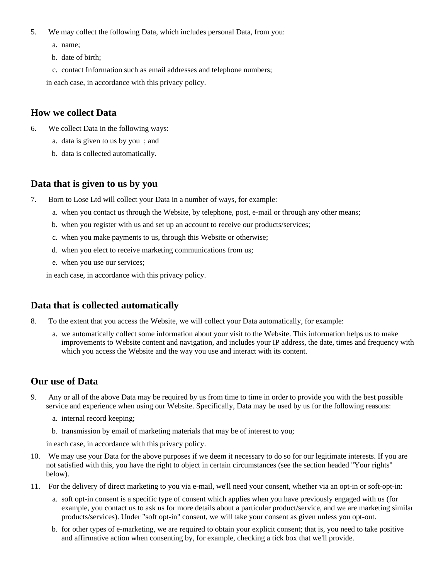- 5. We may collect the following Data, which includes personal Data, from you:
	- a. name;
	- b. date of birth;
	- c. contact Information such as email addresses and telephone numbers;

in each case, in accordance with this privacy policy.

#### **How we collect Data**

- 6. We collect Data in the following ways:
	- a. data is given to us by you ; and
	- b. data is collected automatically.

#### **Data that is given to us by you**

- 7. Born to Lose Ltd will collect your Data in a number of ways, for example:
	- a. when you contact us through the Website, by telephone, post, e-mail or through any other means;
	- b. when you register with us and set up an account to receive our products/services;
	- c. when you make payments to us, through this Website or otherwise;
	- d. when you elect to receive marketing communications from us;
	- e. when you use our services;

in each case, in accordance with this privacy policy.

## **Data that is collected automatically**

- 8. To the extent that you access the Website, we will collect your Data automatically, for example:
	- a. we automatically collect some information about your visit to the Website. This information helps us to make improvements to Website content and navigation, and includes your IP address, the date, times and frequency with which you access the Website and the way you use and interact with its content.

# **Our use of Data**

- 9. Any or all of the above Data may be required by us from time to time in order to provide you with the best possible service and experience when using our Website. Specifically, Data may be used by us for the following reasons:
	- a. internal record keeping;
	- b. transmission by email of marketing materials that may be of interest to you;

in each case, in accordance with this privacy policy.

- 10. We may use your Data for the above purposes if we deem it necessary to do so for our legitimate interests. If you are not satisfied with this, you have the right to object in certain circumstances (see the section headed "Your rights" below).
- 11. For the delivery of direct marketing to you via e-mail, we'll need your consent, whether via an opt-in or soft-opt-in:
	- a. soft opt-in consent is a specific type of consent which applies when you have previously engaged with us (for example, you contact us to ask us for more details about a particular product/service, and we are marketing similar products/services). Under "soft opt-in" consent, we will take your consent as given unless you opt-out.
	- b. for other types of e-marketing, we are required to obtain your explicit consent; that is, you need to take positive and affirmative action when consenting by, for example, checking a tick box that we'll provide.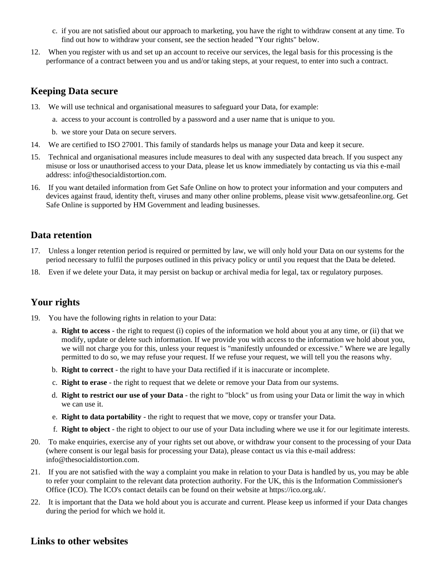- c. if you are not satisfied about our approach to marketing, you have the right to withdraw consent at any time. To find out how to withdraw your consent, see the section headed "Your rights" below.
- 12. When you register with us and set up an account to receive our services, the legal basis for this processing is the performance of a contract between you and us and/or taking steps, at your request, to enter into such a contract.

#### **Keeping Data secure**

- 13. We will use technical and organisational measures to safeguard your Data, for example:
	- a. access to your account is controlled by a password and a user name that is unique to you.
	- b. we store your Data on secure servers.
- 14. We are certified to ISO 27001. This family of standards helps us manage your Data and keep it secure.
- 15. Technical and organisational measures include measures to deal with any suspected data breach. If you suspect any misuse or loss or unauthorised access to your Data, please let us know immediately by contacting us via this e-mail address: info@thesocialdistortion.com.
- 16. If you want detailed information from Get Safe Online on how to protect your information and your computers and devices against fraud, identity theft, viruses and many other online problems, please visit www.getsafeonline.org. Get Safe Online is supported by HM Government and leading businesses.

# **Data retention**

- 17. Unless a longer retention period is required or permitted by law, we will only hold your Data on our systems for the period necessary to fulfil the purposes outlined in this privacy policy or until you request that the Data be deleted.
- 18. Even if we delete your Data, it may persist on backup or archival media for legal, tax or regulatory purposes.

# **Your rights**

- 19. You have the following rights in relation to your Data:
	- a. **Right to access** the right to request (i) copies of the information we hold about you at any time, or (ii) that we modify, update or delete such information. If we provide you with access to the information we hold about you, we will not charge you for this, unless your request is "manifestly unfounded or excessive." Where we are legally permitted to do so, we may refuse your request. If we refuse your request, we will tell you the reasons why.
	- b. **Right to correct** the right to have your Data rectified if it is inaccurate or incomplete.
	- c. **Right to erase** the right to request that we delete or remove your Data from our systems.
	- d. **Right to restrict our use of your Data** the right to "block" us from using your Data or limit the way in which we can use it.
	- e. **Right to data portability** the right to request that we move, copy or transfer your Data.
	- f. **Right to object** the right to object to our use of your Data including where we use it for our legitimate interests.
- 20. To make enquiries, exercise any of your rights set out above, or withdraw your consent to the processing of your Data (where consent is our legal basis for processing your Data), please contact us via this e-mail address: info@thesocialdistortion.com.
- 21. If you are not satisfied with the way a complaint you make in relation to your Data is handled by us, you may be able to refer your complaint to the relevant data protection authority. For the UK, this is the Information Commissioner's Office (ICO). The ICO's contact details can be found on their website at https://ico.org.uk/.
- 22. It is important that the Data we hold about you is accurate and current. Please keep us informed if your Data changes during the period for which we hold it.

## **Links to other websites**